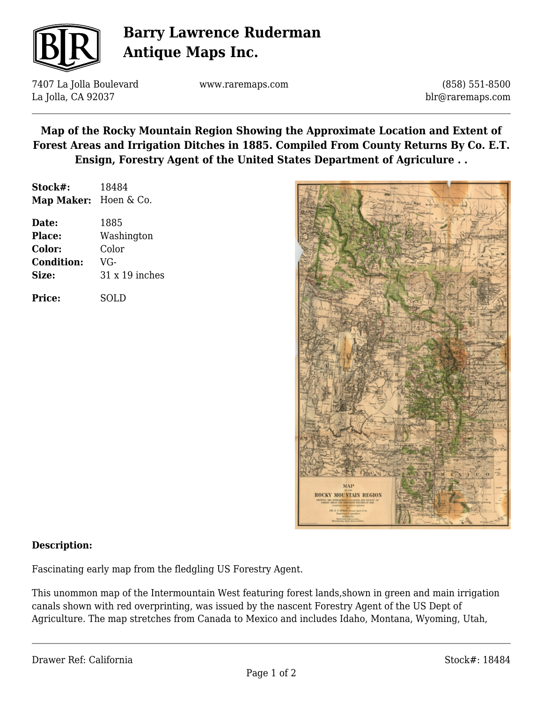

# **Barry Lawrence Ruderman Antique Maps Inc.**

7407 La Jolla Boulevard La Jolla, CA 92037

www.raremaps.com

(858) 551-8500 blr@raremaps.com

**Map of the Rocky Mountain Region Showing the Approximate Location and Extent of Forest Areas and Irrigation Ditches in 1885. Compiled From County Returns By Co. E.T. Ensign, Forestry Agent of the United States Department of Agriculure . .**

| Stock#:               | 18484                 |
|-----------------------|-----------------------|
| Map Maker: Hoen & Co. |                       |
| Date:                 | 1885                  |
| Place:                | Washington            |
| Color:                | Color                 |
| <b>Condition:</b>     | VG-                   |
| Size:                 | $31 \times 19$ inches |
| <b>Price:</b>         | SOLD                  |



#### **Description:**

Fascinating early map from the fledgling US Forestry Agent.

This unommon map of the Intermountain West featuring forest lands,shown in green and main irrigation canals shown with red overprinting, was issued by the nascent Forestry Agent of the US Dept of Agriculture. The map stretches from Canada to Mexico and includes Idaho, Montana, Wyoming, Utah,